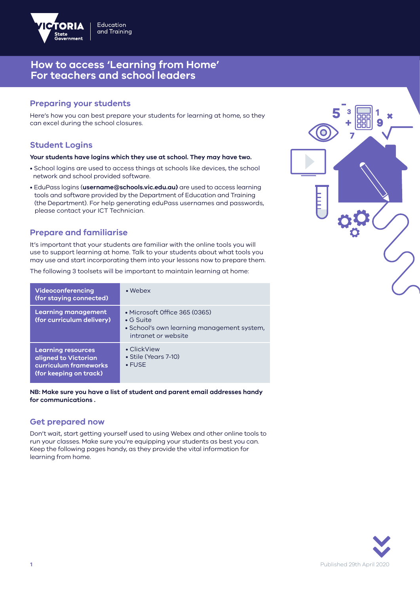

## **Preparing your students**

Here's how you can best prepare your students for learning at home, so they can excel during the school closures.

## **Student Logins**

#### **Your students have logins which they use at school. They may have two.**

- School logins are used to access things at schools like devices, the school network and school provided software.
- EduPass logins (**username@schools.vic.edu.au)** are used to access learning tools and software provided by the Department of Education and Training (the Department). For help generating eduPass usernames and passwords, please contact your ICT Technician.

### **Prepare and familiarise**

It's important that your students are familiar with the online tools you will use to support learning at home. Talk to your students about what tools you may use and start incorporating them into your lessons now to prepare them.

The following 3 toolsets will be important to maintain learning at home:

| Videoconferencing<br>(for staying connected)                                                         | $\bullet$ Webex                                                                                                         |
|------------------------------------------------------------------------------------------------------|-------------------------------------------------------------------------------------------------------------------------|
| <b>Learning management</b><br>(for curriculum delivery)                                              | • Microsoft Office 365 (0365)<br>$\bullet$ G Suite<br>• School's own learning management system,<br>intranet or website |
| <b>Learning resources</b><br>aligned to Victorian<br>curriculum frameworks<br>(for keeping on track) | • ClickView<br>• Stile (Years 7-10)<br>$\cdot$ FUSE                                                                     |

**NB: Make sure you have a list of student and parent email addresses handy for communications .**

### **Get prepared now**

Don't wait, start getting yourself used to using Webex and other online tools to run your classes. Make sure you're equipping your students as best you can. Keep the following pages handy, as they provide the vital information for learning from home.



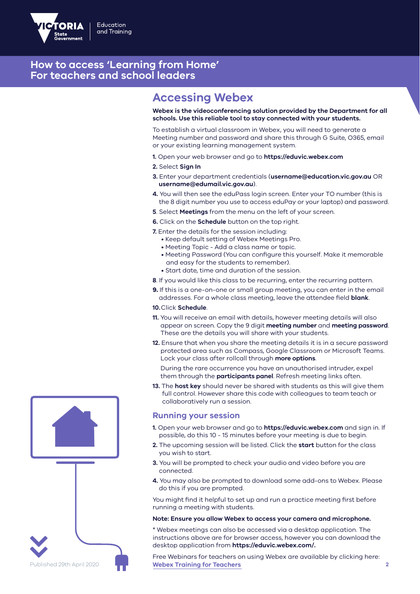

# **Accessing Webex**

**Webex is the videoconferencing solution provided by the Department for all schools. Use this reliable tool to stay connected with your students.**

To establish a virtual classroom in Webex, you will need to generate a Meeting number and password and share this through G Suite, O365, email or your existing learning management system.

**1.** Open your web browser and go to **https://eduvic.webex.com** 

#### **2.** Select **Sign In**

- **3.** Enter your department credentials (**username@education.vic.gov.au** OR  **username@edumail.vic.gov.au**).
- **4.** You will then see the eduPass login screen. Enter your TO number (this is the 8 digit number you use to access eduPay or your laptop) and password.
- **5**. Select **Meetings** from the menu on the left of your screen.
- **6.** Click on the **Schedule** button on the top right.
- **7.** Enter the details for the session including:
	- Keep default setting of Webex Meetings Pro.
	- Meeting Topic Add a class name or topic.
	- Meeting Password (You can configure this yourself. Make it memorable and easy for the students to remember).
	- Start date, time and duration of the session.
- **8**. If you would like this class to be recurring, enter the recurring pattern.
- **9.** If this is a one-on-one or small group meeting, you can enter in the email addresses. For a whole class meeting, leave the attendee field **blank**.

#### **10.**Click **Schedule**.

- **11.** You will receive an email with details, however meeting details will also appear on screen. Copy the 9 digit **meeting number** and **meeting password**. These are the details you will share with your students.
- **12.** Ensure that when you share the meeting details it is in a secure password protected area such as Compass, Google Classroom or Microsoft Teams. Lock your class after rollcall through **more options**.

 During the rare occurrence you have an unauthorised intruder, expel them through the **participants panel**. Refresh meeting links often.

**13.** The **host key** should never be shared with students as this will give them full control. However share this code with colleagues to team teach or collaboratively run a session.

### **Running your session**

- **1.** Open your web browser and go to **https://eduvic.webex.com** and sign in. If possible, do this 10 - 15 minutes before your meeting is due to begin.
- **2.** The upcoming session will be listed. Click the **start** button for the class you wish to start.
- **3.** You will be prompted to check your audio and video before you are connected.
- **4.** You may also be prompted to download some add-ons to Webex. Please do this if you are prompted.

You might find it helpful to set up and run a practice meeting first before running a meeting with students.

#### **Note: Ensure you allow Webex to access your camera and microphone.**

\* Webex meetings can also be accessed via a desktop application. The instructions above are for browser access, however you can download the desktop application from **https://eduvic.webex.com/.**

Free Webinars for teachers on using Webex are available by clicking here: Published 29th April 2020 **Webex Training for Teachers 2**

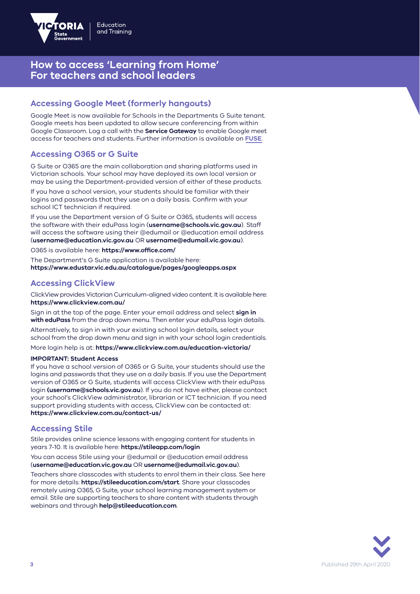

## **Accessing Google Meet (formerly hangouts)**

Google Meet is now available for Schools in the Departments G Suite tenant. Google meets has been updated to allow secure conferencing from within Google Classroom. Log a call with the **Service Gateway** to enable Google meet access for teachers and students. Further information is available on **FUSE**.

### **Accessing O365 or G Suite**

G Suite or O365 are the main collaboration and sharing platforms used in Victorian schools. Your school may have deployed its own local version or may be using the Department-provided version of either of these products.

If you have a school version, your students should be familiar with their logins and passwords that they use on a daily basis. Confirm with your school ICT technician if required.

If you use the Department version of G Suite or O365, students will access the software with their eduPass login (**username@schools.vic.gov.au**). Staff will access the software using their @edumail or @education email address (**username@education.vic.gov.au** OR **username@edumail.vic.gov.au**).

O365 is available here: **https://www.office.com/**

The Department's G Suite application is available here: **https://www.edustar.vic.edu.au/catalogue/pages/googleapps.aspx**

### **Accessing ClickView**

ClickView provides Victorian Curriculum-aligned video content. It is available here: **https://www.clickview.com.au/**

Sign in at the top of the page. Enter your email address and select **sign in with eduPass** from the drop down menu. Then enter your eduPass login details.

Alternatively, to sign in with your existing school login details, select your school from the drop down menu and sign in with your school login credentials.

### More login help is at: **https://www.clickview.com.au/education-victoria/**

### **IMPORTANT: Student Access**

If you have a school version of O365 or G Suite, your students should use the logins and passwords that they use on a daily basis. If you use the Department version of O365 or G Suite, students will access ClickView with their eduPass login **(username@schools.vic.gov.au**). If you do not have either, please contact your school's ClickView administrator, librarian or ICT technician. If you need support providing students with access, ClickView can be contacted at: **https://www.clickview.com.au/contact-us/**

### **Accessing Stile**

Stile provides online science lessons with engaging content for students in years 7-10. It is available here: **https://stileapp.com/login**

You can access Stile using your @edumail or @education email address (**username@education.vic.gov.au** OR **username@edumail.vic.gov.au**).

Teachers share classcodes with students to enrol them in their class. See here for more details: **https://stileeducation.com/start**. Share your classcodes remotely using O365, G Suite, your school learning management system or email. Stile are supporting teachers to share content with students through webinars and through **help@stileeducation.com**.